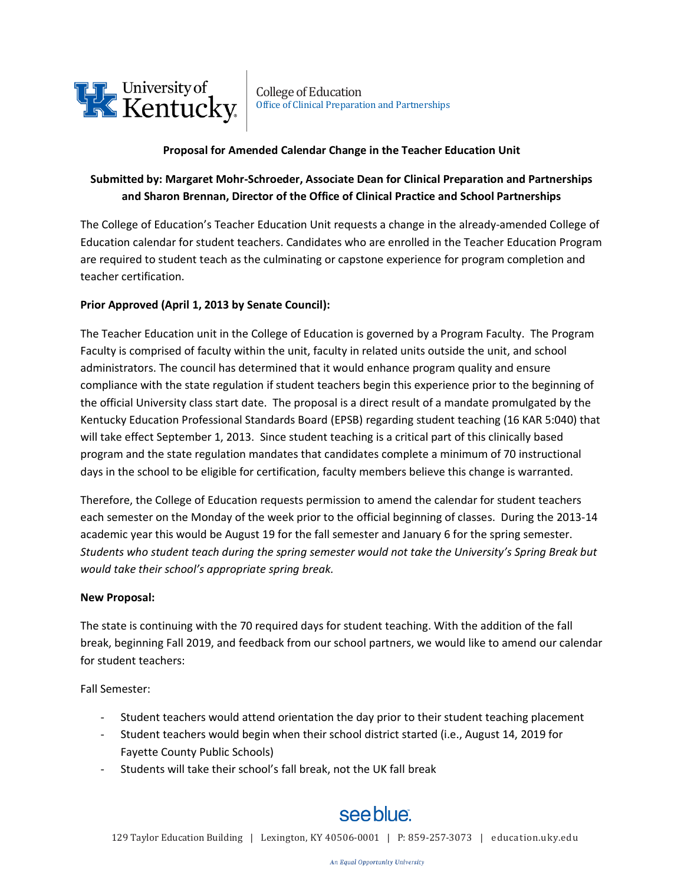

### **Proposal for Amended Calendar Change in the Teacher Education Unit**

## **Submitted by: Margaret Mohr-Schroeder, Associate Dean for Clinical Preparation and Partnerships and Sharon Brennan, Director of the Office of Clinical Practice and School Partnerships**

The College of Education's Teacher Education Unit requests a change in the already-amended College of Education calendar for student teachers. Candidates who are enrolled in the Teacher Education Program are required to student teach as the culminating or capstone experience for program completion and teacher certification.

### **Prior Approved (April 1, 2013 by Senate Council):**

The Teacher Education unit in the College of Education is governed by a Program Faculty. The Program Faculty is comprised of faculty within the unit, faculty in related units outside the unit, and school administrators. The council has determined that it would enhance program quality and ensure compliance with the state regulation if student teachers begin this experience prior to the beginning of the official University class start date. The proposal is a direct result of a mandate promulgated by the Kentucky Education Professional Standards Board (EPSB) regarding student teaching (16 KAR 5:040) that will take effect September 1, 2013. Since student teaching is a critical part of this clinically based program and the state regulation mandates that candidates complete a minimum of 70 instructional days in the school to be eligible for certification, faculty members believe this change is warranted.

Therefore, the College of Education requests permission to amend the calendar for student teachers each semester on the Monday of the week prior to the official beginning of classes. During the 2013-14 academic year this would be August 19 for the fall semester and January 6 for the spring semester. *Students who student teach during the spring semester would not take the University's Spring Break but would take their school's appropriate spring break.*

#### **New Proposal:**

The state is continuing with the 70 required days for student teaching. With the addition of the fall break, beginning Fall 2019, and feedback from our school partners, we would like to amend our calendar for student teachers:

Fall Semester:

- Student teachers would attend orientation the day prior to their student teaching placement
- Student teachers would begin when their school district started (i.e., August 14, 2019 for Fayette County Public Schools)
- Students will take their school's fall break, not the UK fall break

# see blue.

129 Taylor Education Building | Lexington, KY 40506-0001 | P: 859-257-3073 | [education.uky.edu](http://education.uky.edu/)